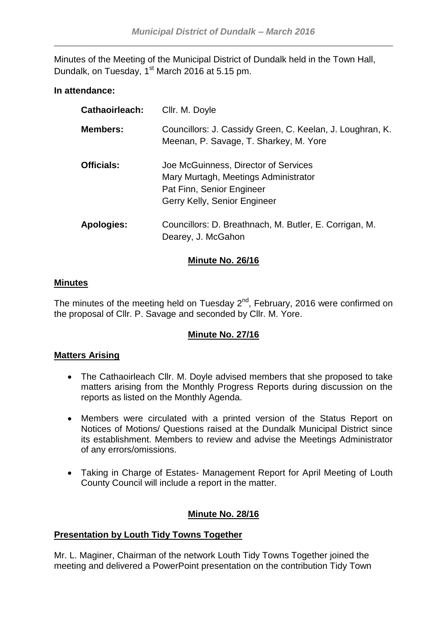Minutes of the Meeting of the Municipal District of Dundalk held in the Town Hall, Dundalk, on Tuesday, 1<sup>st</sup> March 2016 at 5.15 pm.

## **In attendance:**

| <b>Cathaoirleach:</b> | Cllr. M. Doyle                                                                                                                            |
|-----------------------|-------------------------------------------------------------------------------------------------------------------------------------------|
| <b>Members:</b>       | Councillors: J. Cassidy Green, C. Keelan, J. Loughran, K.<br>Meenan, P. Savage, T. Sharkey, M. Yore                                       |
| <b>Officials:</b>     | Joe McGuinness, Director of Services<br>Mary Murtagh, Meetings Administrator<br>Pat Finn, Senior Engineer<br>Gerry Kelly, Senior Engineer |
| <b>Apologies:</b>     | Councillors: D. Breathnach, M. Butler, E. Corrigan, M.<br>Dearey, J. McGahon                                                              |

## **Minute No. 26/16**

#### **Minutes**

The minutes of the meeting held on Tuesday  $2^{nd}$ , February, 2016 were confirmed on the proposal of Cllr. P. Savage and seconded by Cllr. M. Yore.

#### **Minute No. 27/16**

#### **Matters Arising**

- The Cathaoirleach Cllr. M. Doyle advised members that she proposed to take matters arising from the Monthly Progress Reports during discussion on the reports as listed on the Monthly Agenda.
- Members were circulated with a printed version of the Status Report on Notices of Motions/ Questions raised at the Dundalk Municipal District since its establishment. Members to review and advise the Meetings Administrator of any errors/omissions.
- Taking in Charge of Estates- Management Report for April Meeting of Louth County Council will include a report in the matter.

# **Minute No. 28/16**

#### **Presentation by Louth Tidy Towns Together**

Mr. L. Maginer, Chairman of the network Louth Tidy Towns Together joined the meeting and delivered a PowerPoint presentation on the contribution Tidy Town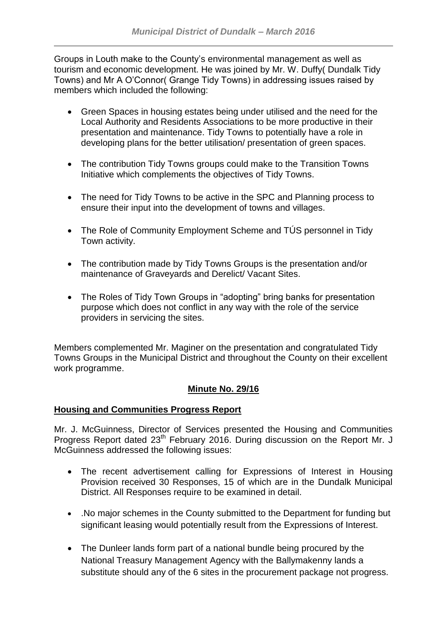Groups in Louth make to the County's environmental management as well as tourism and economic development. He was joined by Mr. W. Duffy( Dundalk Tidy Towns) and Mr A O'Connor( Grange Tidy Towns) in addressing issues raised by members which included the following:

- Green Spaces in housing estates being under utilised and the need for the Local Authority and Residents Associations to be more productive in their presentation and maintenance. Tidy Towns to potentially have a role in developing plans for the better utilisation/ presentation of green spaces.
- The contribution Tidy Towns groups could make to the Transition Towns Initiative which complements the objectives of Tidy Towns.
- The need for Tidy Towns to be active in the SPC and Planning process to ensure their input into the development of towns and villages.
- The Role of Community Employment Scheme and TUS personnel in Tidy Town activity.
- The contribution made by Tidy Towns Groups is the presentation and/or maintenance of Graveyards and Derelict/ Vacant Sites.
- The Roles of Tidy Town Groups in "adopting" bring banks for presentation purpose which does not conflict in any way with the role of the service providers in servicing the sites.

Members complemented Mr. Maginer on the presentation and congratulated Tidy Towns Groups in the Municipal District and throughout the County on their excellent work programme.

# **Minute No. 29/16**

## **Housing and Communities Progress Report**

Mr. J. McGuinness, Director of Services presented the Housing and Communities Progress Report dated 23<sup>th</sup> February 2016. During discussion on the Report Mr. J McGuinness addressed the following issues:

- The recent advertisement calling for Expressions of Interest in Housing Provision received 30 Responses, 15 of which are in the Dundalk Municipal District. All Responses require to be examined in detail.
- .No major schemes in the County submitted to the Department for funding but significant leasing would potentially result from the Expressions of Interest.
- The Dunleer lands form part of a national bundle being procured by the National Treasury Management Agency with the Ballymakenny lands a substitute should any of the 6 sites in the procurement package not progress.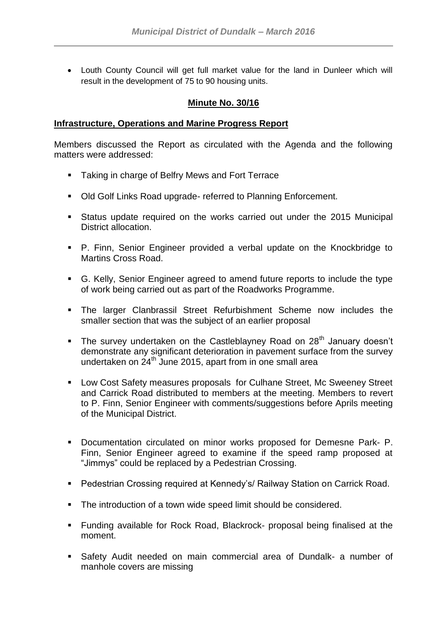Louth County Council will get full market value for the land in Dunleer which will result in the development of 75 to 90 housing units.

#### **Minute No. 30/16**

#### **Infrastructure, Operations and Marine Progress Report**

Members discussed the Report as circulated with the Agenda and the following matters were addressed:

- **Taking in charge of Belfry Mews and Fort Terrace**
- Old Golf Links Road upgrade- referred to Planning Enforcement.
- Status update required on the works carried out under the 2015 Municipal District allocation.
- P. Finn, Senior Engineer provided a verbal update on the Knockbridge to Martins Cross Road.
- G. Kelly, Senior Engineer agreed to amend future reports to include the type of work being carried out as part of the Roadworks Programme.
- The larger Clanbrassil Street Refurbishment Scheme now includes the smaller section that was the subject of an earlier proposal
- The survey undertaken on the Castleblayney Road on 28<sup>th</sup> January doesn't demonstrate any significant deterioration in pavement surface from the survey undertaken on 24<sup>th</sup> June 2015, apart from in one small area
- Low Cost Safety measures proposals for Culhane Street, Mc Sweeney Street and Carrick Road distributed to members at the meeting. Members to revert to P. Finn, Senior Engineer with comments/suggestions before Aprils meeting of the Municipal District.
- **Documentation circulated on minor works proposed for Demesne Park- P.** Finn, Senior Engineer agreed to examine if the speed ramp proposed at "Jimmys" could be replaced by a Pedestrian Crossing.
- Pedestrian Crossing required at Kennedy's/ Railway Station on Carrick Road.
- The introduction of a town wide speed limit should be considered.
- Funding available for Rock Road, Blackrock- proposal being finalised at the moment.
- Safety Audit needed on main commercial area of Dundalk- a number of manhole covers are missing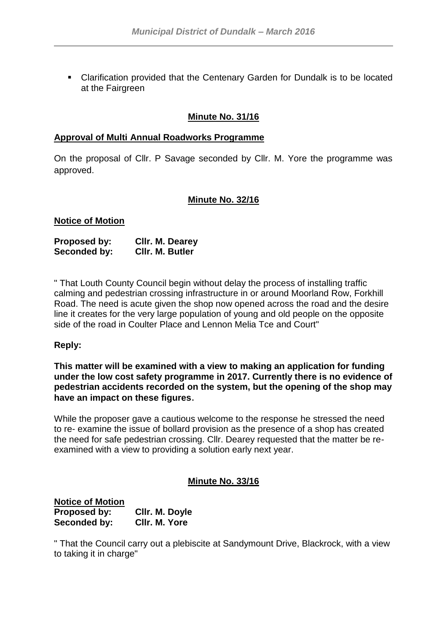Clarification provided that the Centenary Garden for Dundalk is to be located at the Fairgreen

## **Minute No. 31/16**

#### **Approval of Multi Annual Roadworks Programme**

On the proposal of Cllr. P Savage seconded by Cllr. M. Yore the programme was approved.

#### **Minute No. 32/16**

#### **Notice of Motion**

| <b>Proposed by:</b> | Cllr. M. Dearey        |
|---------------------|------------------------|
| Seconded by:        | <b>CIIr. M. Butler</b> |

" That Louth County Council begin without delay the process of installing traffic calming and pedestrian crossing infrastructure in or around Moorland Row, Forkhill Road. The need is acute given the shop now opened across the road and the desire line it creates for the very large population of young and old people on the opposite side of the road in Coulter Place and Lennon Melia Tce and Court"

#### **Reply:**

**This matter will be examined with a view to making an application for funding under the low cost safety programme in 2017. Currently there is no evidence of pedestrian accidents recorded on the system, but the opening of the shop may have an impact on these figures**.

While the proposer gave a cautious welcome to the response he stressed the need to re- examine the issue of bollard provision as the presence of a shop has created the need for safe pedestrian crossing. Cllr. Dearey requested that the matter be reexamined with a view to providing a solution early next year.

#### **Minute No. 33/16**

| <b>Notice of Motion</b> |                |
|-------------------------|----------------|
| Proposed by:            | Cllr. M. Doyle |
| Seconded by:            | CIIr. M. Yore  |

" That the Council carry out a plebiscite at Sandymount Drive, Blackrock, with a view to taking it in charge"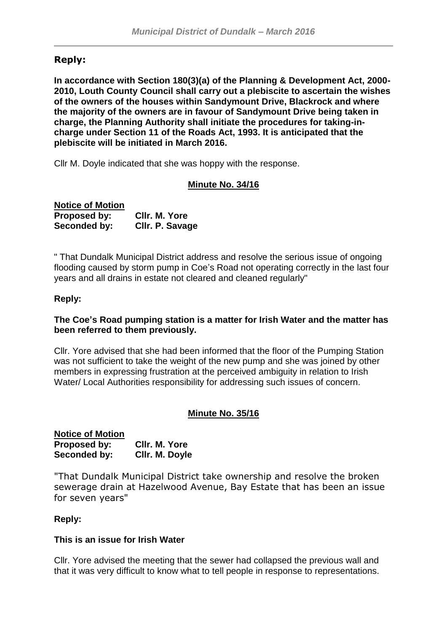# **Reply:**

**In accordance with Section 180(3)(a) of the Planning & Development Act, 2000- 2010, Louth County Council shall carry out a plebiscite to ascertain the wishes of the owners of the houses within Sandymount Drive, Blackrock and where the majority of the owners are in favour of Sandymount Drive being taken in charge, the Planning Authority shall initiate the procedures for taking-incharge under Section 11 of the Roads Act, 1993. It is anticipated that the plebiscite will be initiated in March 2016.**

Cllr M. Doyle indicated that she was hoppy with the response.

## **Minute No. 34/16**

| <b>Notice of Motion</b> |                 |
|-------------------------|-----------------|
| Proposed by:            | CIIr. M. Yore   |
| Seconded by:            | Cllr. P. Savage |

" That Dundalk Municipal District address and resolve the serious issue of ongoing flooding caused by storm pump in Coe's Road not operating correctly in the last four years and all drains in estate not cleared and cleaned regularly"

#### **Reply:**

#### **The Coe's Road pumping station is a matter for Irish Water and the matter has been referred to them previously.**

Cllr. Yore advised that she had been informed that the floor of the Pumping Station was not sufficient to take the weight of the new pump and she was joined by other members in expressing frustration at the perceived ambiguity in relation to Irish Water/ Local Authorities responsibility for addressing such issues of concern.

#### **Minute No. 35/16**

#### **Notice of Motion Proposed by: Cllr. M. Yore Seconded by: Cllr. M. Doyle**

"That Dundalk Municipal District take ownership and resolve the broken sewerage drain at Hazelwood Avenue, Bay Estate that has been an issue for seven years"

#### **Reply:**

#### **This is an issue for Irish Water**

Cllr. Yore advised the meeting that the sewer had collapsed the previous wall and that it was very difficult to know what to tell people in response to representations.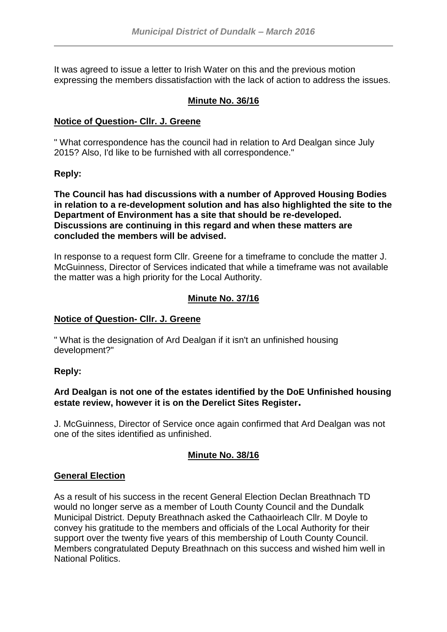It was agreed to issue a letter to Irish Water on this and the previous motion expressing the members dissatisfaction with the lack of action to address the issues.

## **Minute No. 36/16**

## **Notice of Question- Cllr. J. Greene**

" What correspondence has the council had in relation to Ard Dealgan since July 2015? Also, I'd like to be furnished with all correspondence."

## **Reply:**

**The Council has had discussions with a number of Approved Housing Bodies in relation to a re-development solution and has also highlighted the site to the Department of Environment has a site that should be re-developed. Discussions are continuing in this regard and when these matters are concluded the members will be advised.**

In response to a request form Cllr. Greene for a timeframe to conclude the matter J. McGuinness, Director of Services indicated that while a timeframe was not available the matter was a high priority for the Local Authority.

# **Minute No. 37/16**

## **Notice of Question- Cllr. J. Greene**

" What is the designation of Ard Dealgan if it isn't an unfinished housing development?"

#### **Reply:**

## **Ard Dealgan is not one of the estates identified by the DoE Unfinished housing estate review, however it is on the Derelict Sites Register.**

J. McGuinness, Director of Service once again confirmed that Ard Dealgan was not one of the sites identified as unfinished.

# **Minute No. 38/16**

#### **General Election**

As a result of his success in the recent General Election Declan Breathnach TD would no longer serve as a member of Louth County Council and the Dundalk Municipal District. Deputy Breathnach asked the Cathaoirleach Cllr. M Doyle to convey his gratitude to the members and officials of the Local Authority for their support over the twenty five years of this membership of Louth County Council. Members congratulated Deputy Breathnach on this success and wished him well in National Politics.